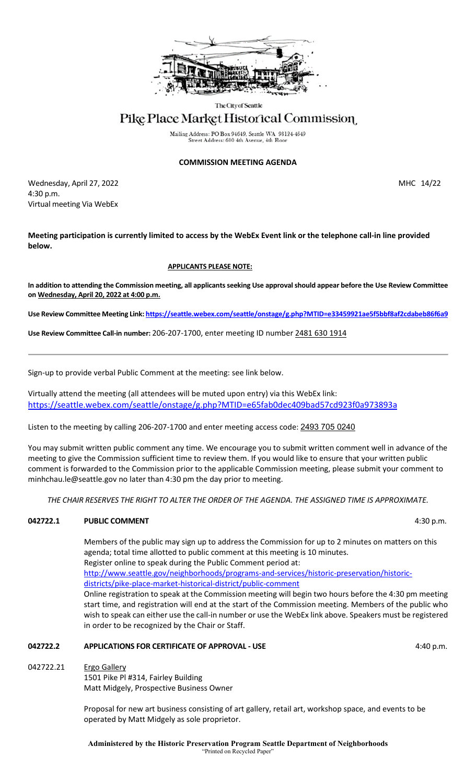

The City of Seattle

# Pike Place Market Historical Commission

Mailing Address: PO Box 94649, Seattle WA 98124-4649 Street Address: 600 4th Avenue, 4th Flo

# **COMMISSION MEETING AGENDA**

Wednesday, April 27, 2022 2003 and 2008 and 2009 and 2009 and 2009 and 2009 and 2009 and 2009 and 2009 and 200 4:30 p.m. Virtual meeting Via WebEx

**Meeting participation is currently limited to access by the WebEx Event link or the telephone call-in line provided below.** 

# **APPLICANTS PLEASE NOTE:**

**In addition to attending the Commission meeting, all applicants seeking Use approval should appear before the Use Review Committee on Wednesday, April 20, 2022 at 4:00 p.m.**

**Use Review Committee Meeting Link[: https://seattle.webex.com/seattle/onstage/g.php?MTID=e33459921ae5f5bbf8af2cdabeb86f6a9](https://seattle.webex.com/seattle/onstage/g.php?MTID=e33459921ae5f5bbf8af2cdabeb86f6a9)**

**Use Review Committee Call-in number:** 206-207-1700, enter meeting ID number 2481 630 1914

Sign-up to provide verbal Public Comment at the meeting: see link below.

Virtually attend the meeting (all attendees will be muted upon entry) via this WebEx link: <https://seattle.webex.com/seattle/onstage/g.php?MTID=e65fab0dec409bad57cd923f0a973893a>

Listen to the meeting by calling 206-207-1700 and enter meeting access code: 2493 705 0240

You may submit written public comment any time. We encourage you to submit written comment well in advance of the meeting to give the Commission sufficient time to review them. If you would like to ensure that your written public comment is forwarded to the Commission prior to the applicable Commission meeting, please submit your comment to minhchau.le@seattle.gov no later than 4:30 pm the day prior to meeting.

*THE CHAIR RESERVES THE RIGHT TO ALTER THE ORDER OF THE AGENDA. THE ASSIGNED TIME IS APPROXIMATE.*

# **042722.1 PUBLIC COMMENT** 4:30 p.m.

Members of the public may sign up to address the Commission for up to 2 minutes on matters on this agenda; total time allotted to public comment at this meeting is 10 minutes. Register online to speak during the Public Comment period at: [http://www.seattle.gov/neighborhoods/programs-and-services/historic-preservation/historic](http://www.seattle.gov/neighborhoods/programs-and-services/historic-preservation/historic-districts/pike-place-market-historical-district/public-comment)[districts/pike-place-market-historical-district/public-comment](http://www.seattle.gov/neighborhoods/programs-and-services/historic-preservation/historic-districts/pike-place-market-historical-district/public-comment) Online registration to speak at the Commission meeting will begin two hours before the 4:30 pm meeting start time, and registration will end at the start of the Commission meeting. Members of the public who wish to speak can either use the call-in number or use the WebEx link above. Speakers must be registered

# **042722.2 APPLICATIONS FOR CERTIFICATE OF APPROVAL - USE** 4:40 p.m.

in order to be recognized by the Chair or Staff.

042722.21 Ergo Gallery 1501 Pike Pl #314, Fairley Building Matt Midgely, Prospective Business Owner

> Proposal for new art business consisting of art gallery, retail art, workshop space, and events to be operated by Matt Midgely as sole proprietor.